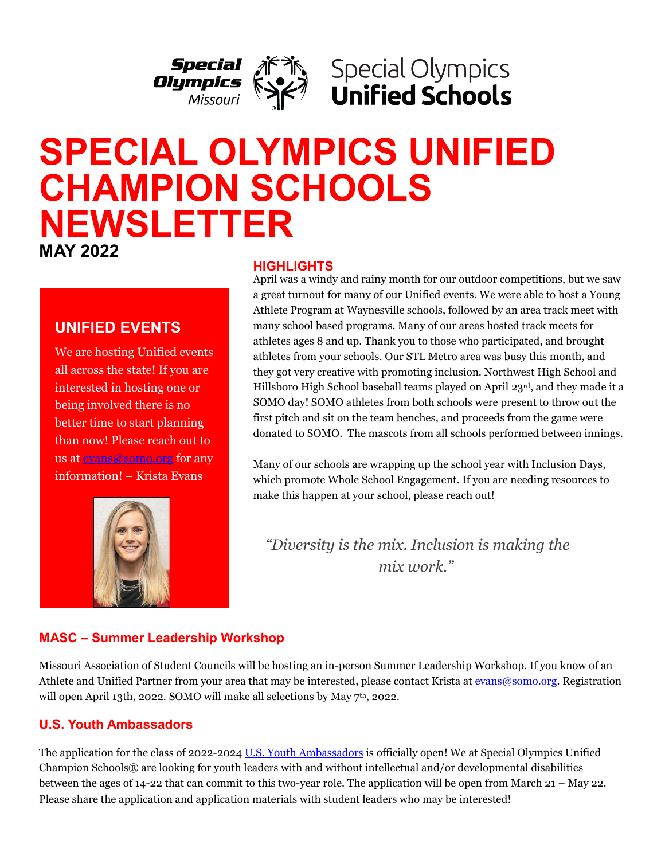

# **Special Olympics Unified Schools**

# **SPECIAL OLYMPICS UNIFIED CHAMPION SCHOOLS NEWSLETTER MAY 2022**

#### **HIGHLIGHTS**

# **UNIFIED EVENTS**

We are hosting Unified events all across the state! If you are interested in hosting one or being involved there is no better time to start planning than now! Please reach out to us at [evans@somo.org](mailto:evans@somo.org) for any information! – Krista Evans



April was a windy and rainy month for our outdoor competitions, but we saw a great turnout for many of our Unified events. We were able to host a Young Athlete Program at Waynesville schools, followed by an area track meet with many school based programs. Many of our areas hosted track meets for athletes ages 8 and up. Thank you to those who participated, and brought athletes from your schools. Our STL Metro area was busy this month, and they got very creative with promoting inclusion. Northwest High School and Hillsboro High School baseball teams played on April 23rd, and they made it a SOMO day! SOMO athletes from both schools were present to throw out the first pitch and sit on the team benches, and proceeds from the game were donated to SOMO. The mascots from all schools performed between innings.

Many of our schools are wrapping up the school year with Inclusion Days, which promote Whole School Engagement. If you are needing resources to make this happen at your school, please reach out!

 *"Diversity is the mix. Inclusion is making the mix work."*

# **MASC – Summer Leadership Workshop**

Missouri Association of Student Councils will be hosting an in-person Summer Leadership Workshop. If you know of an Athlete and Unified Partner from your area that may be interested, please contact Krista a[t evans@somo.org.](mailto:evans@somo.org) Registration will open April 13th, 2022. SOMO will make all selections by May 7<sup>th</sup>, 2022.

# **U.S. Youth Ambassadors**

ׇ֦֘֡֡

The application for the class of 2022-2024 [U.S. Youth Ambassadors](https://cn5pf04.na1.hubspotlinks.com/Ctc/W1+113/cN5pF04/VWH1sV6bfqMRW1tYTHD7SxN3BW4jRtpV4Hbl7TN6mkvq93lScmV1-WJV7CgK4PW1MnVFN8d4fchW7B-TbK8yTfG-W498ldT7PXTTpVPR-cC6Mt5lMW7N2P562lyDm7W3LgJKB8bgzHFW82rM4z6wgY8pW4TCHQx7CrJqPW75hjt61RZyZsW4FFmpp8XZ4F-W1lM1J58ggx4vW1vwpSt5RFSpKW4RBC601rlHBNW3SwhjH6z318ZW3N4VrH8vh9rVW4S772K40Tz2cV7scCb4Gtg4TW11R5Dc2Hb22FW5w6MVr6D0-05W6_h3Vb55XV-HW1vP0y-5SPKH6W6yQG_33_SSzRW4FfBJ71Sj6tmVxQd5l6mwkfsW8QrrnZ3Hdc0-W1FR1BY8yQw-l36191) is officially open! We at Special Olympics Unified Champion Schools® are looking for youth leaders with and without intellectual and/or developmental disabilities between the ages of 14-22 that can commit to this two-year role. The application will be open from March 21 – May 22. Please share the application and application materials with student leaders who may be interested!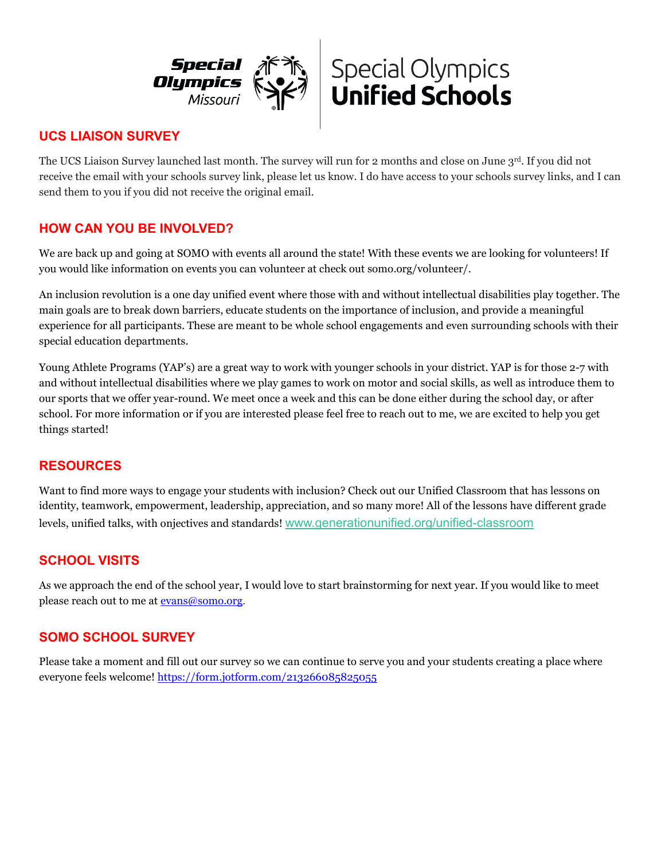



# **UCS LIAISON SURVEY**

The UCS Liaison Survey launched last month. The survey will run for 2 months and close on June 3rd. If you did not receive the email with your schools survey link, please let us know. I do have access to your schools survey links, and I can send them to you if you did not receive the original email.

#### **HOW CAN YOU BE INVOLVED?**

We are back up and going at SOMO with events all around the state! With these events we are looking for volunteers! If you would like information on events you can volunteer at check out somo.org/volunteer/.

An inclusion revolution is a one day unified event where those with and without intellectual disabilities play together. The main goals are to break down barriers, educate students on the importance of inclusion, and provide a meaningful experience for all participants. These are meant to be whole school engagements and even surrounding schools with their special education departments.

Young Athlete Programs (YAP's) are a great way to work with younger schools in your district. YAP is for those 2-7 with and without intellectual disabilities where we play games to work on motor and social skills, as well as introduce them to our sports that we offer year-round. We meet once a week and this can be done either during the school day, or after school. For more information or if you are interested please feel free to reach out to me, we are excited to help you get things started!

#### **RESOURCES**

Want to find more ways to engage your students with inclusion? Check out our Unified Classroom that has lessons on identity, teamwork, empowerment, leadership, appreciation, and so many more! All of the lessons have different grade levels, unified talks, with onjectives and standards! [www.generationunified.org/unified-classroom](https://cn5pf04.na1.hubspotlinks.com/Btc/W1+113/cN5pF04/VXcC-v8-1JMhW7rV4TM2Y1j9CW7RdXLG4B40BXN7swVw73lSbNV1-WJV7CgZtJW8BqgX8439vDSW2pLj7y8vk-yXN437VpCsv6sfW5GRxrM16ZRk7W3qHCZ54-MNVtW7BJKSZ3DbrjnW7bLHy52Xj6szW1stV5Q6nbBp-W2pYM_w2fBV-rW12_TRK6gzL15N5cz8jK_sSPDW8j96sj5l28jWW4jG0k-70X2RRW8-L5y63kdb1SW2Lr4qC8THN-QW12NP8j55CVQ0W3dtD9T5MxszDW2h3zSz6Mvj8BW36yDCH4QcPxMW21Wg0Y7ShckjN2tmsjrmtWplW5jLNTz8pLd8z3bZw1)

#### **SCHOOL VISITS**

As we approach the end of the school year, I would love to start brainstorming for next year. If you would like to meet please reach out to me at [evans@somo.org.](mailto:evans@somo.org)

#### **SOMO SCHOOL SURVEY**

Please take a moment and fill out our survey so we can continue to serve you and your students creating a place where everyone feels welcome!<https://form.jotform.com/213266085825055>